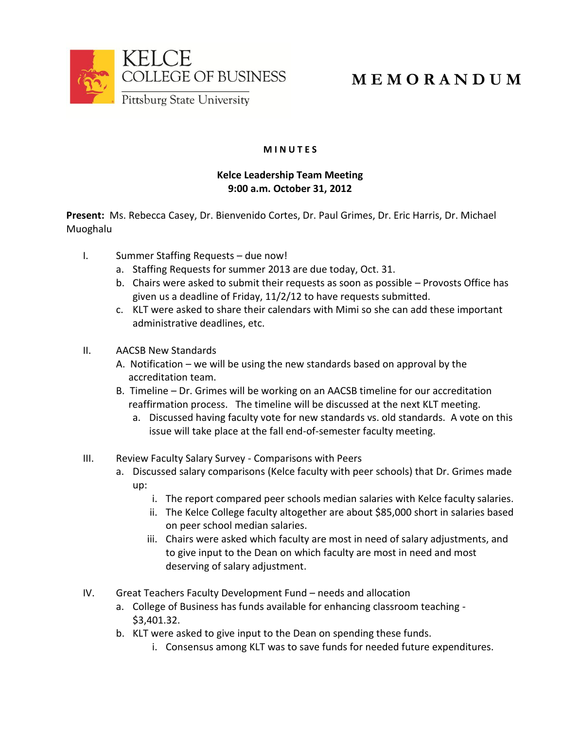

## **M E M O R A N D U M**

## **M I N U T E S**

## **Kelce Leadership Team Meeting 9:00 a.m. October 31, 2012**

**Present:** Ms. Rebecca Casey, Dr. Bienvenido Cortes, Dr. Paul Grimes, Dr. Eric Harris, Dr. Michael Muoghalu

- I. Summer Staffing Requests due now!
	- a. Staffing Requests for summer 2013 are due today, Oct. 31.
	- b. Chairs were asked to submit their requests as soon as possible Provosts Office has given us a deadline of Friday, 11/2/12 to have requests submitted.
	- c. KLT were asked to share their calendars with Mimi so she can add these important administrative deadlines, etc.
- II. AACSB New Standards
	- A. Notification we will be using the new standards based on approval by the accreditation team.
	- B. Timeline Dr. Grimes will be working on an AACSB timeline for our accreditation reaffirmation process. The timeline will be discussed at the next KLT meeting.
		- a. Discussed having faculty vote for new standards vs. old standards. A vote on this issue will take place at the fall end-of-semester faculty meeting.
- III. Review Faculty Salary Survey Comparisons with Peers
	- a. Discussed salary comparisons (Kelce faculty with peer schools) that Dr. Grimes made up:
		- i. The report compared peer schools median salaries with Kelce faculty salaries.
		- ii. The Kelce College faculty altogether are about \$85,000 short in salaries based on peer school median salaries.
		- iii. Chairs were asked which faculty are most in need of salary adjustments, and to give input to the Dean on which faculty are most in need and most deserving of salary adjustment.
- IV. Great Teachers Faculty Development Fund needs and allocation
	- a. College of Business has funds available for enhancing classroom teaching \$3,401.32.
	- b. KLT were asked to give input to the Dean on spending these funds.
		- i. Consensus among KLT was to save funds for needed future expenditures.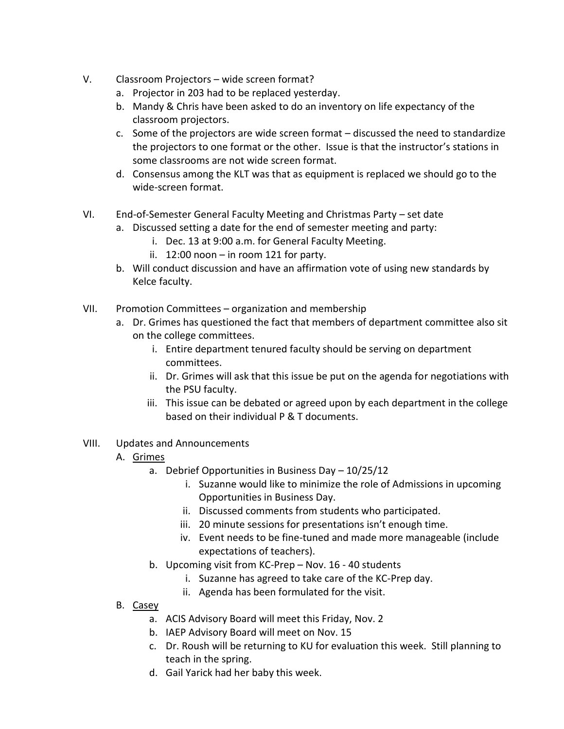- V. Classroom Projectors wide screen format?
	- a. Projector in 203 had to be replaced yesterday.
	- b. Mandy & Chris have been asked to do an inventory on life expectancy of the classroom projectors.
	- c. Some of the projectors are wide screen format discussed the need to standardize the projectors to one format or the other. Issue is that the instructor's stations in some classrooms are not wide screen format.
	- d. Consensus among the KLT was that as equipment is replaced we should go to the wide-screen format.
- VI. End-of-Semester General Faculty Meeting and Christmas Party set date
	- a. Discussed setting a date for the end of semester meeting and party:
		- i. Dec. 13 at 9:00 a.m. for General Faculty Meeting.
		- ii. 12:00 noon in room 121 for party.
	- b. Will conduct discussion and have an affirmation vote of using new standards by Kelce faculty.
- VII. Promotion Committees organization and membership
	- a. Dr. Grimes has questioned the fact that members of department committee also sit on the college committees.
		- i. Entire department tenured faculty should be serving on department committees.
		- ii. Dr. Grimes will ask that this issue be put on the agenda for negotiations with the PSU faculty.
		- iii. This issue can be debated or agreed upon by each department in the college based on their individual P & T documents.
- VIII. Updates and Announcements
	- A. Grimes
		- a. Debrief Opportunities in Business Day 10/25/12
			- i. Suzanne would like to minimize the role of Admissions in upcoming Opportunities in Business Day.
			- ii. Discussed comments from students who participated.
			- iii. 20 minute sessions for presentations isn't enough time.
			- iv. Event needs to be fine-tuned and made more manageable (include expectations of teachers).
		- b. Upcoming visit from KC-Prep Nov. 16 40 students
			- i. Suzanne has agreed to take care of the KC-Prep day.
			- ii. Agenda has been formulated for the visit.
	- B. Casey
		- a. ACIS Advisory Board will meet this Friday, Nov. 2
		- b. IAEP Advisory Board will meet on Nov. 15
		- c. Dr. Roush will be returning to KU for evaluation this week. Still planning to teach in the spring.
		- d. Gail Yarick had her baby this week.